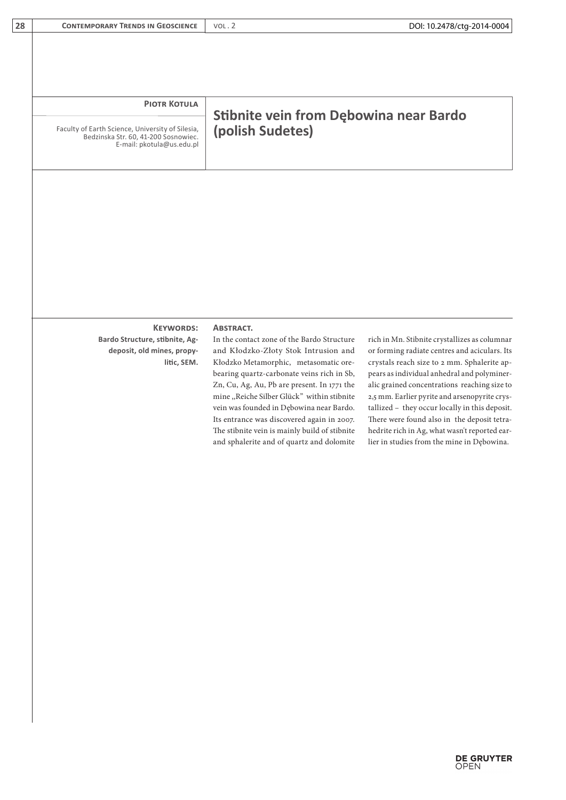| 28 | <b>CONTEMPORARY TRENDS IN GEOSCIENCE</b>                                                                              | VOL.2                                                                                                                                                                                                                                                                                                                                                                                                                                                                              | DOI: 10.2478/ctg-2014-0004                                                                                                                                                                                                                                                                                                                                                                                                                                                                    |  |
|----|-----------------------------------------------------------------------------------------------------------------------|------------------------------------------------------------------------------------------------------------------------------------------------------------------------------------------------------------------------------------------------------------------------------------------------------------------------------------------------------------------------------------------------------------------------------------------------------------------------------------|-----------------------------------------------------------------------------------------------------------------------------------------------------------------------------------------------------------------------------------------------------------------------------------------------------------------------------------------------------------------------------------------------------------------------------------------------------------------------------------------------|--|
|    |                                                                                                                       |                                                                                                                                                                                                                                                                                                                                                                                                                                                                                    |                                                                                                                                                                                                                                                                                                                                                                                                                                                                                               |  |
|    | <b>PIOTR KOTULA</b>                                                                                                   |                                                                                                                                                                                                                                                                                                                                                                                                                                                                                    |                                                                                                                                                                                                                                                                                                                                                                                                                                                                                               |  |
|    | Faculty of Earth Science, University of Silesia,<br>Bedzinska Str. 60, 41-200 Sosnowiec.<br>E-mail: pkotula@us.edu.pl | Stibnite vein from Dębowina near Bardo<br>(polish Sudetes)                                                                                                                                                                                                                                                                                                                                                                                                                         |                                                                                                                                                                                                                                                                                                                                                                                                                                                                                               |  |
|    |                                                                                                                       |                                                                                                                                                                                                                                                                                                                                                                                                                                                                                    |                                                                                                                                                                                                                                                                                                                                                                                                                                                                                               |  |
|    |                                                                                                                       |                                                                                                                                                                                                                                                                                                                                                                                                                                                                                    |                                                                                                                                                                                                                                                                                                                                                                                                                                                                                               |  |
|    |                                                                                                                       |                                                                                                                                                                                                                                                                                                                                                                                                                                                                                    |                                                                                                                                                                                                                                                                                                                                                                                                                                                                                               |  |
|    |                                                                                                                       |                                                                                                                                                                                                                                                                                                                                                                                                                                                                                    |                                                                                                                                                                                                                                                                                                                                                                                                                                                                                               |  |
|    | <b>KEYWORDS:</b><br>Bardo Structure, stibnite, Ag-<br>deposit, old mines, propy-<br>litic, SEM.                       | <b>ABSTRACT.</b><br>In the contact zone of the Bardo Structure<br>and Kłodzko-Złoty Stok Intrusion and<br>Kłodzko Metamorphic, metasomatic ore-<br>bearing quartz-carbonate veins rich in Sb,<br>Zn, Cu, Ag, Au, Pb are present. In 1771 the<br>mine "Reiche Silber Glück" within stibnite<br>vein was founded in Dębowina near Bardo.<br>Its entrance was discovered again in 2007.<br>The stibnite vein is mainly build of stibnite<br>and sphalerite and of quartz and dolomite | rich in Mn. Stibnite crystallizes as columnar<br>or forming radiate centres and aciculars. Its<br>crystals reach size to 2 mm. Sphalerite ap-<br>pears as individual anhedral and polyminer-<br>alic grained concentrations reaching size to<br>2,5 mm. Earlier pyrite and arsenopyrite crys-<br>tallized - they occur locally in this deposit.<br>There were found also in the deposit tetra-<br>hedrite rich in Ag, what wasn't reported ear-<br>lier in studies from the mine in Dębowina. |  |
|    |                                                                                                                       |                                                                                                                                                                                                                                                                                                                                                                                                                                                                                    |                                                                                                                                                                                                                                                                                                                                                                                                                                                                                               |  |
|    |                                                                                                                       |                                                                                                                                                                                                                                                                                                                                                                                                                                                                                    |                                                                                                                                                                                                                                                                                                                                                                                                                                                                                               |  |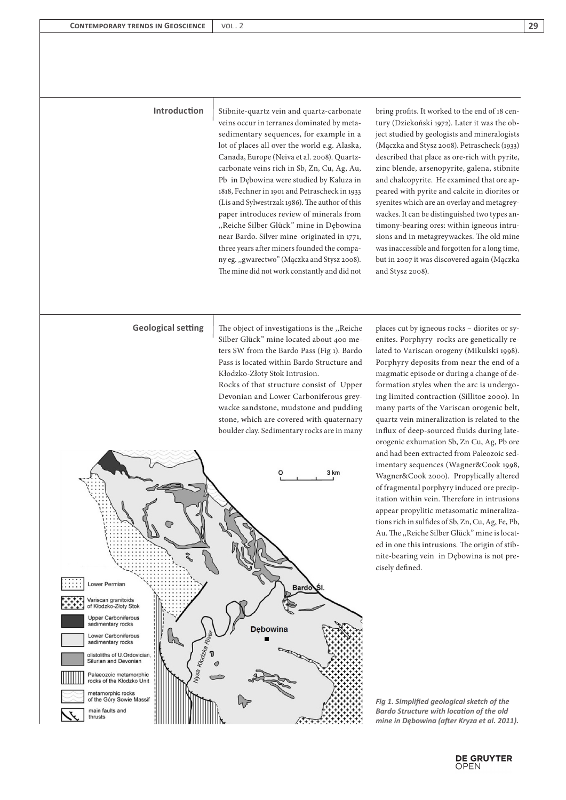## **Introduction**

Stibnite-quartz vein and quartz-carbonate veins occur in terranes dominated by metasedimentary sequences, for example in a lot of places all over the world e.g. Alaska, Canada, Europe (Neiva et al. 2008). Quartzcarbonate veins rich in Sb, Zn, Cu, Ag, Au, Pb in Dębowina were studied by Kaluza in 1818, Fechner in 1901 and Petrascheck in 1933 (Lis and Sylwestrzak 1986). The author of this paper introduces review of minerals from ,,Reiche Silber Glück" mine in Dębowina near Bardo. Silver mine originated in 1771, three years after miners founded the company eg. ,,gwarectwo" (Mączka and Stysz 2008). The mine did not work constantly and did not bring profits. It worked to the end of 18 century (Dziekoński 1972). Later it was the object studied by geologists and mineralogists (Mączka and Stysz 2008). Petrascheck (1933) described that place as ore-rich with pyrite, zinc blende, arsenopyrite, galena, stibnite and chalcopyrite. He examined that ore appeared with pyrite and calcite in diorites or syenites which are an overlay and metagreywackes. It can be distinguished two types antimony-bearing ores: within igneous intrusions and in metagreywackes. The old mine was inaccessible and forgotten for a long time, but in 2007 it was discovered again (Mączka and Stysz 2008).

**Geological setting** The object of investigations is the "Reiche Silber Glück" mine located about 400 meters SW from the Bardo Pass (Fig 1). Bardo Pass is located within Bardo Structure and Kłodzko-Złoty Stok Intrusion.

Rocks of that structure consist of Upper Devonian and Lower Carboniferous greywacke sandstone, mudstone and pudding stone, which are covered with quaternary boulder clay. Sedimentary rocks are in many



places cut by igneous rocks – diorites or syenites. Porphyry rocks are genetically related to Variscan orogeny (Mikulski 1998). Porphyry deposits from near the end of a magmatic episode or during a change of deformation styles when the arc is undergoing limited contraction (Sillitoe 2000). In many parts of the Variscan orogenic belt, quartz vein mineralization is related to the influx of deep-sourced fluids during lateorogenic exhumation Sb, Zn Cu, Ag, Pb ore and had been extracted from Paleozoic sedimentary sequences (Wagner&Cook 1998, Wagner&Cook 2000). Propylically altered of fragmental porphyry induced ore precipitation within vein. Therefore in intrusions appear propylitic metasomatic mineralizations rich in sulfides of Sb, Zn, Cu, Ag, Fe, Pb, Au. The ,,Reiche Silber Glück" mine is located in one this intrusions. The origin of stibnite-bearing vein in Dębowina is not precisely defined.

*Fig 1. Simplified geological sketch of the Bardo Structure with location of the old mine in Dębowina (after Kryza et al. 2011).*



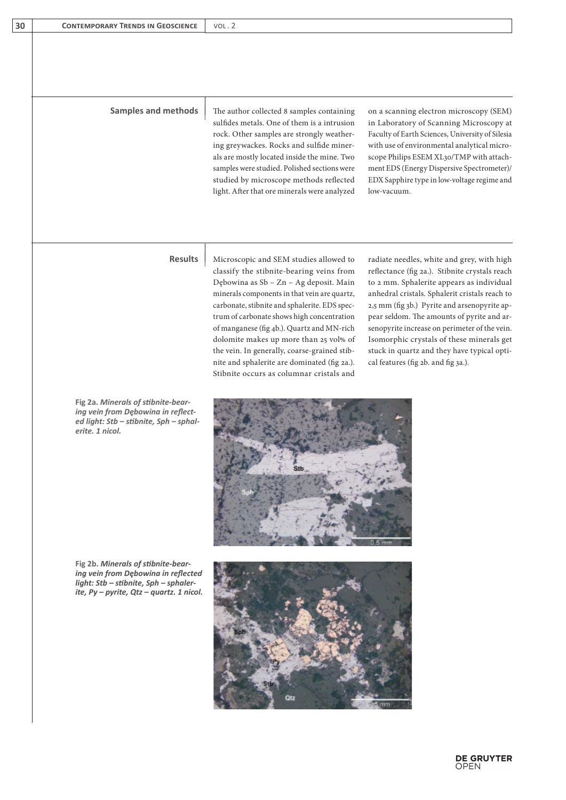| 30 | <b>CONTEMPORARY TRENDS IN GEOSCIENCE</b> | VOL.2 |
|----|------------------------------------------|-------|
|    |                                          |       |

**Samples and methods** The author collected 8 samples containing sulfides metals. One of them is a intrusion rock. Other samples are strongly weathering greywackes. Rocks and sulfide minerals are mostly located inside the mine. Two samples were studied. Polished sections were studied by microscope methods reflected light. After that ore minerals were analyzed on a scanning electron microscopy (SEM) in Laboratory of Scanning Microscopy at Faculty of Earth Sciences, University of Silesia with use of environmental analytical microscope Philips ESEM XL30/TMP with attachment EDS (Energy Dispersive Spectrometer)/ EDX Sapphire type in low-voltage regime and low-vacuum.

**Results** Microscopic and SEM studies allowed to classify the stibnite-bearing veins from Dębowina as Sb – Zn – Ag deposit. Main minerals components in that vein are quartz, carbonate, stibnite and sphalerite. EDS spectrum of carbonate shows high concentration of manganese (fig 4b.). Quartz and MN-rich dolomite makes up more than 25 vol% of the vein. In generally, coarse-grained stibnite and sphalerite are dominated (fig 2a.). Stibnite occurs as columnar cristals and

radiate needles, white and grey, with high reflectance (fig 2a.). Stibnite crystals reach to 2 mm. Sphalerite appears as individual anhedral cristals. Sphalerit cristals reach to 2,5 mm (fig 3b.) Pyrite and arsenopyrite appear seldom. The amounts of pyrite and arsenopyrite increase on perimeter of the vein. Isomorphic crystals of these minerals get stuck in quartz and they have typical optical features (fig 2b. and fig 3a.).



**Fig 2b.** *Minerals of stibnite-bearing vein from Dębowina in reflected light: Stb – stibnite, Sph – sphalerite, Py – pyrite, Qtz – quartz. 1 nicol.*

**Fig 2a.** *Minerals of stibnite-bearing vein from Dębowina in reflected light: Stb – stibnite, Sph – sphal-*

*erite. 1 nicol.*

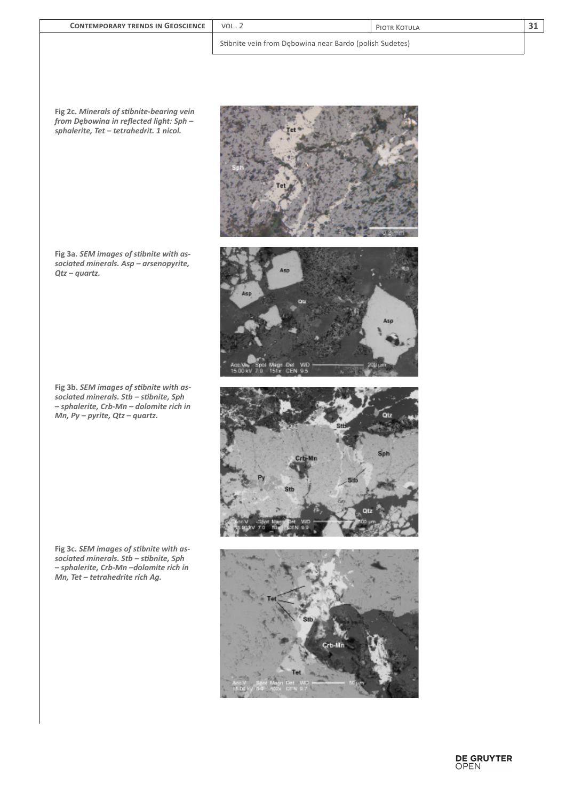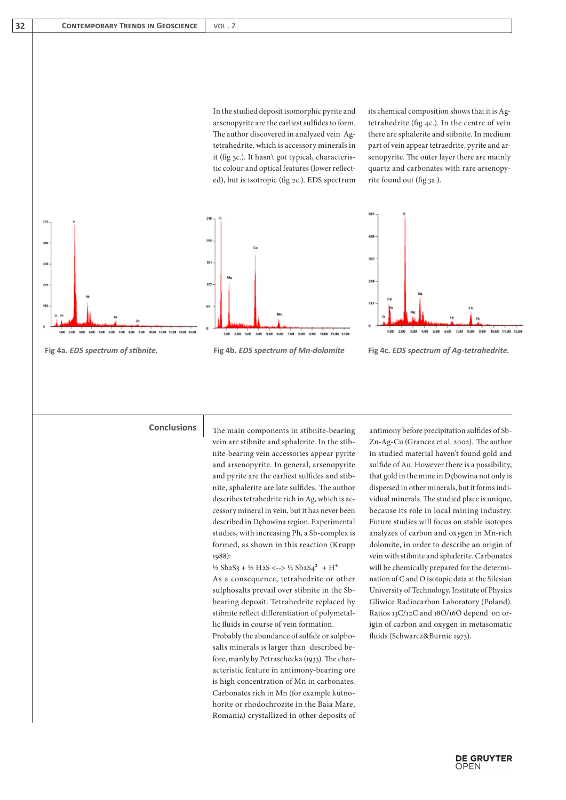In the studied deposit isomorphic pyrite and arsenopyrite are the earliest sulfides to form. The author discovered in analyzed vein Agtetrahedrite, which is accessory minerals in it (fig 3c.). It hasn't got typical, characteristic colour and optical features (lower reflected), but is isotropic (fig 2c.). EDS spectrum its chemical composition shows that it is Agtetrahedrite (fig 4c.). In the centre of vein there are sphalerite and stibnite. In medium part of vein appear tetraedrite, pyrite and arsenopyrite. The outer layer there are mainly quartz and carbonates with rare arsenopyrite found out (fig 3a.).



**Conclusions**

The main components in stibnite-bearing vein are stibnite and sphalerite. In the stibnite-bearing vein accessories appear pyrite and arsenopyrite. In general, arsenopyrite and pyrite are the earliest sulfides and stibnite, sphalerite are late sulfides. The author describes tetrahedrite rich in Ag, which is accessory mineral in vein, but it has never been described in Dębowina region. Experimental studies, with increasing Ph, a Sb-complex is formed, as shown in this reaction (Krupp 1988):

 $\frac{1}{2}$  Sb<sub>2</sub>S<sub>3</sub> + ½ H<sub>2</sub>S <--> ½ Sb<sub>2</sub>S<sub>4</sub><sup>2-</sup> + H<sup>+</sup> As a consequence, tetrahedrite or other sulphosalts prevail over stibnite in the Sbbearing deposit. Tetrahedrite replaced by stibnite reflect differentiation of polymetallic fluids in course of vein formation. Probably the abundance of sulfide or sulphosalts minerals is larger than described before, manly by Petraschecka (1933). The characteristic feature in antimony-bearing ore is high concentration of Mn in carbonates. Carbonates rich in Mn (for example kutnohorite or rhodochrozite in the Baia Mare, Romania) crystallized in other deposits of antimony before precipitation sulfides of Sb-Zn-Ag-Cu (Grancea et al. 2002). The author in studied material haven't found gold and sulfide of Au. However there is a possibility, that gold in the mine in Dębowina not only is dispersed in other minerals, but it forms individual minerals. The studied place is unique, because its role in local mining industry. Future studies will focus on stable isotopes analyzes of carbon and oxygen in Mn-rich dolomite, in order to describe an origin of vein with stibnite and sphalerite. Carbonates will be chemically prepared for the determination of C and O isotopic data at the Silesian University of Technology, Institute of Physics Gliwice Radiocarbon Laboratory (Poland). Ratios 13C/12C and 18O/16O depend on origin of carbon and oxygen in metasomatic fluids (Schwarcz&Burnie 1973).